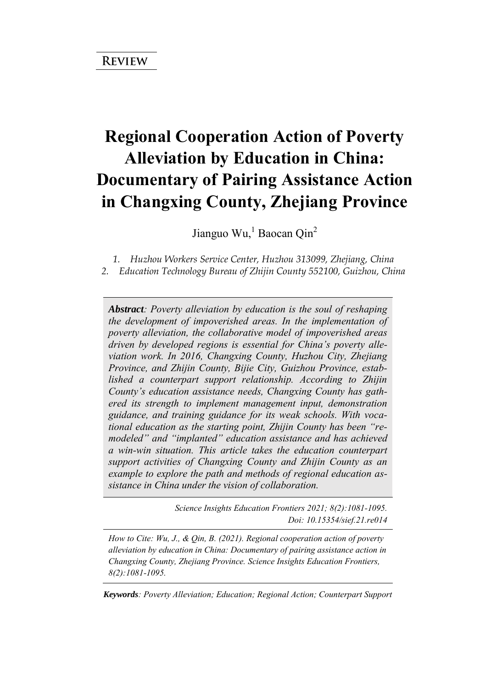# **Regional Cooperation Action of Poverty Alleviation by Education in China: Documentary of Pairing Assistance Action in Changxing County, Zhejiang Province**

Jianguo Wu, Baocan Qin<sup>2</sup>

*1. Huzhou Workers Service Center, Huzhou 313099, Zhejiang, China 2. Education Technology Bureau of Zhijin County 552100, Guizhou, China* 

*Abstract: Poverty alleviation by education is the soul of reshaping the development of impoverished areas. In the implementation of poverty alleviation, the collaborative model of impoverished areas driven by developed regions is essential for China's poverty alleviation work. In 2016, Changxing County, Huzhou City, Zhejiang Province, and Zhijin County, Bijie City, Guizhou Province, established a counterpart support relationship. According to Zhijin County's education assistance needs, Changxing County has gathered its strength to implement management input, demonstration guidance, and training guidance for its weak schools. With vocational education as the starting point, Zhijin County has been "remodeled" and "implanted" education assistance and has achieved a win-win situation. This article takes the education counterpart support activities of Changxing County and Zhijin County as an example to explore the path and methods of regional education assistance in China under the vision of collaboration.*

> *Science Insights Education Frontiers 2021; 8(2):1081-1095. Doi: 10.15354/sief.21.re014*

*How to Cite: Wu, J., & Qin, B. (2021). Regional cooperation action of poverty alleviation by education in China: Documentary of pairing assistance action in Changxing County, Zhejiang Province. Science Insights Education Frontiers, 8(2):1081-1095.*

*Keywords: Poverty Alleviation; Education; Regional Action; Counterpart Support*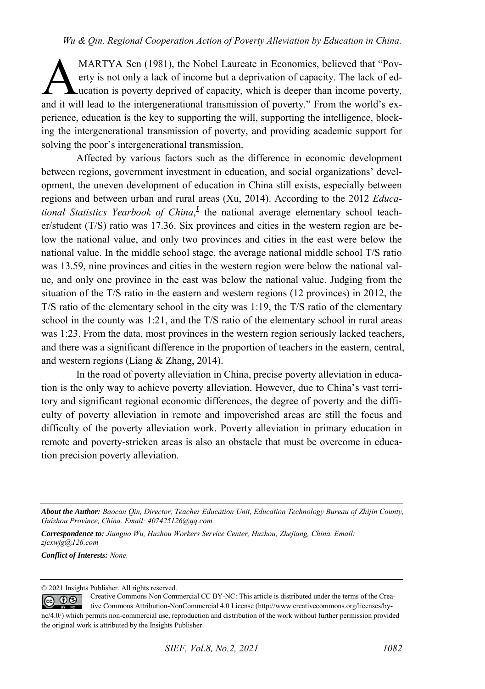MARTYA Sen (1981), the Nobel Laureate in Economics, believed that "Poverty is not only a lack of income but a deprivation of capacity. The lack of education is poverty deprived of capacity, which is deeper than income poverty, MARTYA Sen (1981), the Nobel Laureate in Economics, believed that "Poverty is not only a lack of income but a deprivation of capacity. The lack of education is poverty deprived of capacity, which is deeper than income pove perience, education is the key to supporting the will, supporting the intelligence, blocking the intergenerational transmission of poverty, and providing academic support for solving the poor's intergenerational transmission.

Affected by various factors such as the difference in economic development between regions, government investment in education, and social organizations' development, the uneven development of education in China still exists, especially between regions and between urban and rural areas (Xu, 2014). According to the 2012 *Educa-*tional Statistics Yearbook of China[,](#page-12-0)<sup>1</sup> the national average elementary school teacher/student (T/S) ratio was 17.36. Six provinces and cities in the western region are below the national value, and only two provinces and cities in the east were below the national value. In the middle school stage, the average national middle school T/S ratio was 13.59, nine provinces and cities in the western region were below the national value, and only one province in the east was below the national value. Judging from the situation of the T/S ratio in the eastern and western regions (12 provinces) in 2012, the T/S ratio of the elementary school in the city was 1:19, the T/S ratio of the elementary school in the county was 1:21, and the T/S ratio of the elementary school in rural areas was 1:23. From the data, most provinces in the western region seriously lacked teachers, and there was a significant difference in the proportion of teachers in the eastern, central, and western regions (Liang & Zhang, 2014).

In the road of poverty alleviation in China, precise poverty alleviation in education is the only way to achieve poverty alleviation. However, due to China's vast territory and significant regional economic differences, the degree of poverty and the difficulty of poverty alleviation in remote and impoverished areas are still the focus and difficulty of the poverty alleviation work. Poverty alleviation in primary education in remote and poverty-stricken areas is also an obstacle that must be overcome in education precision poverty alleviation.

*About the Author: Baocan Qin, Director, Teacher Education Unit, Education Technology Bureau of Zhijin County, Guizhou Province, China. Email: 407425126@qq.com*

*Correspondence to: Jianguo Wu, Huzhou Workers Service Center, Huzhou, Zhejiang, China. Email: zjcxwjg@126.com* 

*Conflict of Interests: None.* 

#### © 2021 Insights Publisher. All rights reserved.

Creative Commons Non Commercial CC BY-NC: This article is distributed under the terms of the Crea- $\circledcirc$   $\circledcirc$ tive Commons Attribution-NonCommercial 4.0 License (http://www.creativecommons.org/licenses/bync/4.0/) which permits non-commercial use, reproduction and distribution of the work without further permission provided the original work is attributed by the Insights Publisher.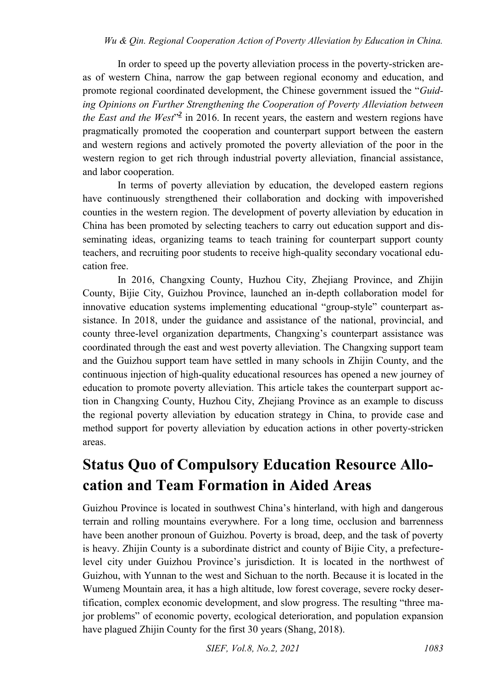In order to speed up the poverty alleviation process in the poverty-stricken areas of western China, narrow the gap between regional economy and education, and promote regional coordinated development, the Chinese government issued the "*Guiding Opinions on Further Strengthening the Cooperation of Poverty Alleviation between the East and the West*<sup> $2$ </sup> in 2016. In recent years, the eastern and western regions have pragmatically promoted the cooperation and counterpart support between the eastern and western regions and actively promoted the poverty alleviation of the poor in the western region to get rich through industrial poverty alleviation, financial assistance, and labor cooperation.

In terms of poverty alleviation by education, the developed eastern regions have continuously strengthened their collaboration and docking with impoverished counties in the western region. The development of poverty alleviation by education in China has been promoted by selecting teachers to carry out education support and disseminating ideas, organizing teams to teach training for counterpart support county teachers, and recruiting poor students to receive high-quality secondary vocational education free.

In 2016, Changxing County, Huzhou City, Zhejiang Province, and Zhijin County, Bijie City, Guizhou Province, launched an in-depth collaboration model for innovative education systems implementing educational "group-style" counterpart assistance. In 2018, under the guidance and assistance of the national, provincial, and county three-level organization departments, Changxing's counterpart assistance was coordinated through the east and west poverty alleviation. The Changxing support team and the Guizhou support team have settled in many schools in Zhijin County, and the continuous injection of high-quality educational resources has opened a new journey of education to promote poverty alleviation. This article takes the counterpart support action in Changxing County, Huzhou City, Zhejiang Province as an example to discuss the regional poverty alleviation by education strategy in China, to provide case and method support for poverty alleviation by education actions in other poverty-stricken areas.

## **Status Quo of Compulsory Education Resource Allocation and Team Formation in Aided Areas**

Guizhou Province is located in southwest China's hinterland, with high and dangerous terrain and rolling mountains everywhere. For a long time, occlusion and barrenness have been another pronoun of Guizhou. Poverty is broad, deep, and the task of poverty is heavy. Zhijin County is a subordinate district and county of Bijie City, a prefecturelevel city under Guizhou Province's jurisdiction. It is located in the northwest of Guizhou, with Yunnan to the west and Sichuan to the north. Because it is located in the Wumeng Mountain area, it has a high altitude, low forest coverage, severe rocky desertification, complex economic development, and slow progress. The resulting "three major problems" of economic poverty, ecological deterioration, and population expansion have plagued Zhijin County for the first 30 years (Shang, 2018).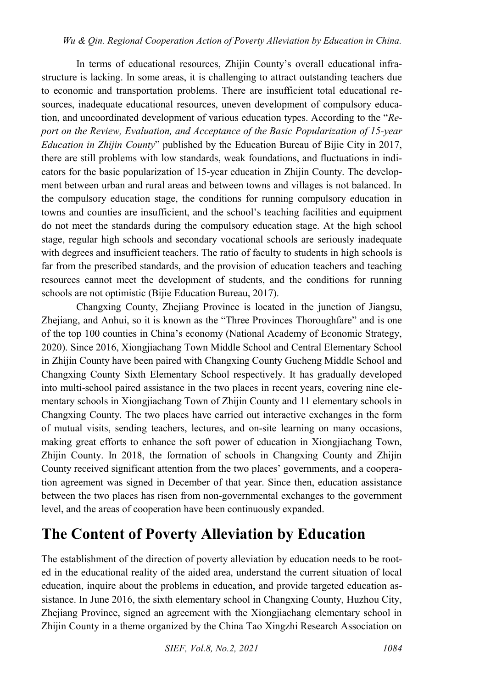#### *Wu & Qin. Regional Cooperation Action of Poverty Alleviation by Education in China.*

In terms of educational resources, Zhijin County's overall educational infrastructure is lacking. In some areas, it is challenging to attract outstanding teachers due to economic and transportation problems. There are insufficient total educational resources, inadequate educational resources, uneven development of compulsory education, and uncoordinated development of various education types. According to the "*Report on the Review, Evaluation, and Acceptance of the Basic Popularization of 15-year Education in Zhijin County*" published by the Education Bureau of Bijie City in 2017, there are still problems with low standards, weak foundations, and fluctuations in indicators for the basic popularization of 15-year education in Zhijin County. The development between urban and rural areas and between towns and villages is not balanced. In the compulsory education stage, the conditions for running compulsory education in towns and counties are insufficient, and the school's teaching facilities and equipment do not meet the standards during the compulsory education stage. At the high school stage, regular high schools and secondary vocational schools are seriously inadequate with degrees and insufficient teachers. The ratio of faculty to students in high schools is far from the prescribed standards, and the provision of education teachers and teaching resources cannot meet the development of students, and the conditions for running schools are not optimistic (Bijie Education Bureau, 2017).

Changxing County, Zhejiang Province is located in the junction of Jiangsu, Zhejiang, and Anhui, so it is known as the "Three Provinces Thoroughfare" and is one of the top 100 counties in China's economy (National Academy of Economic Strategy, 2020). Since 2016, Xiongjiachang Town Middle School and Central Elementary School in Zhijin County have been paired with Changxing County Gucheng Middle School and Changxing County Sixth Elementary School respectively. It has gradually developed into multi-school paired assistance in the two places in recent years, covering nine elementary schools in Xiongjiachang Town of Zhijin County and 11 elementary schools in Changxing County. The two places have carried out interactive exchanges in the form of mutual visits, sending teachers, lectures, and on-site learning on many occasions, making great efforts to enhance the soft power of education in Xiongjiachang Town, Zhijin County. In 2018, the formation of schools in Changxing County and Zhijin County received significant attention from the two places' governments, and a cooperation agreement was signed in December of that year. Since then, education assistance between the two places has risen from non-governmental exchanges to the government level, and the areas of cooperation have been continuously expanded.

### **The Content of Poverty Alleviation by Education**

The establishment of the direction of poverty alleviation by education needs to be rooted in the educational reality of the aided area, understand the current situation of local education, inquire about the problems in education, and provide targeted education assistance. In June 2016, the sixth elementary school in Changxing County, Huzhou City, Zhejiang Province, signed an agreement with the Xiongjiachang elementary school in Zhijin County in a theme organized by the China Tao Xingzhi Research Association on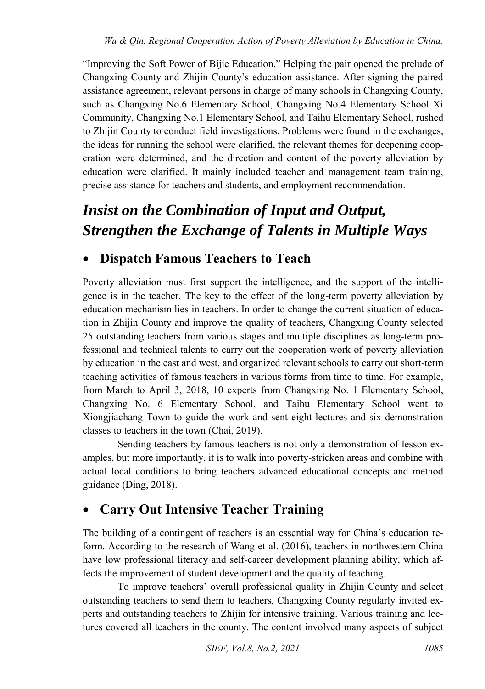"Improving the Soft Power of Bijie Education." Helping the pair opened the prelude of Changxing County and Zhijin County's education assistance. After signing the paired assistance agreement, relevant persons in charge of many schools in Changxing County, such as Changxing No.6 Elementary School, Changxing No.4 Elementary School Xi Community, Changxing No.1 Elementary School, and Taihu Elementary School, rushed to Zhijin County to conduct field investigations. Problems were found in the exchanges, the ideas for running the school were clarified, the relevant themes for deepening cooperation were determined, and the direction and content of the poverty alleviation by education were clarified. It mainly included teacher and management team training, precise assistance for teachers and students, and employment recommendation.

## *Insist on the Combination of Input and Output, Strengthen the Exchange of Talents in Multiple Ways*

### **Dispatch Famous Teachers to Teach**

Poverty alleviation must first support the intelligence, and the support of the intelligence is in the teacher. The key to the effect of the long-term poverty alleviation by education mechanism lies in teachers. In order to change the current situation of education in Zhijin County and improve the quality of teachers, Changxing County selected 25 outstanding teachers from various stages and multiple disciplines as long-term professional and technical talents to carry out the cooperation work of poverty alleviation by education in the east and west, and organized relevant schools to carry out short-term teaching activities of famous teachers in various forms from time to time. For example, from March to April 3, 2018, 10 experts from Changxing No. 1 Elementary School, Changxing No. 6 Elementary School, and Taihu Elementary School went to Xiongjiachang Town to guide the work and sent eight lectures and six demonstration classes to teachers in the town (Chai, 2019).

Sending teachers by famous teachers is not only a demonstration of lesson examples, but more importantly, it is to walk into poverty-stricken areas and combine with actual local conditions to bring teachers advanced educational concepts and method guidance (Ding, 2018).

### **Carry Out Intensive Teacher Training**

The building of a contingent of teachers is an essential way for China's education reform. According to the research of Wang et al. (2016), teachers in northwestern China have low professional literacy and self-career development planning ability, which affects the improvement of student development and the quality of teaching.

To improve teachers' overall professional quality in Zhijin County and select outstanding teachers to send them to teachers, Changxing County regularly invited experts and outstanding teachers to Zhijin for intensive training. Various training and lectures covered all teachers in the county. The content involved many aspects of subject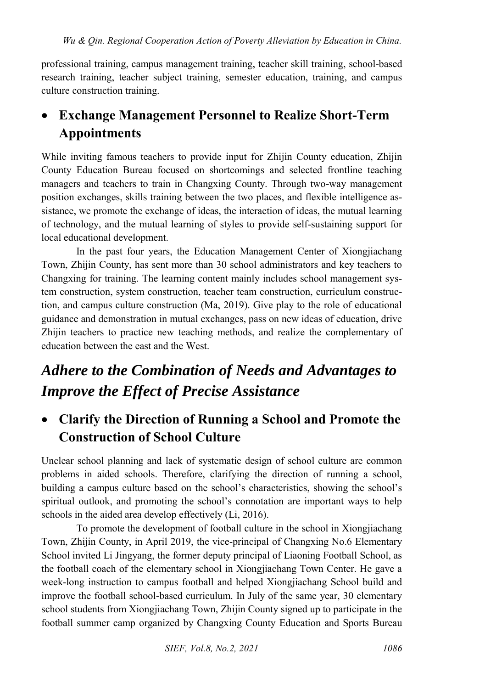professional training, campus management training, teacher skill training, school-based research training, teacher subject training, semester education, training, and campus culture construction training.

## **Exchange Management Personnel to Realize Short-Term Appointments**

While inviting famous teachers to provide input for Zhijin County education, Zhijin County Education Bureau focused on shortcomings and selected frontline teaching managers and teachers to train in Changxing County. Through two-way management position exchanges, skills training between the two places, and flexible intelligence assistance, we promote the exchange of ideas, the interaction of ideas, the mutual learning of technology, and the mutual learning of styles to provide self-sustaining support for local educational development.

In the past four years, the Education Management Center of Xiongjiachang Town, Zhijin County, has sent more than 30 school administrators and key teachers to Changxing for training. The learning content mainly includes school management system construction, system construction, teacher team construction, curriculum construction, and campus culture construction (Ma, 2019). Give play to the role of educational guidance and demonstration in mutual exchanges, pass on new ideas of education, drive Zhijin teachers to practice new teaching methods, and realize the complementary of education between the east and the West.

## *Adhere to the Combination of Needs and Advantages to Improve the Effect of Precise Assistance*

 **Clarify the Direction of Running a School and Promote the Construction of School Culture** 

Unclear school planning and lack of systematic design of school culture are common problems in aided schools. Therefore, clarifying the direction of running a school, building a campus culture based on the school's characteristics, showing the school's spiritual outlook, and promoting the school's connotation are important ways to help schools in the aided area develop effectively (Li, 2016).

To promote the development of football culture in the school in Xiongjiachang Town, Zhijin County, in April 2019, the vice-principal of Changxing No.6 Elementary School invited Li Jingyang, the former deputy principal of Liaoning Football School, as the football coach of the elementary school in Xiongjiachang Town Center. He gave a week-long instruction to campus football and helped Xiongjiachang School build and improve the football school-based curriculum. In July of the same year, 30 elementary school students from Xiongjiachang Town, Zhijin County signed up to participate in the football summer camp organized by Changxing County Education and Sports Bureau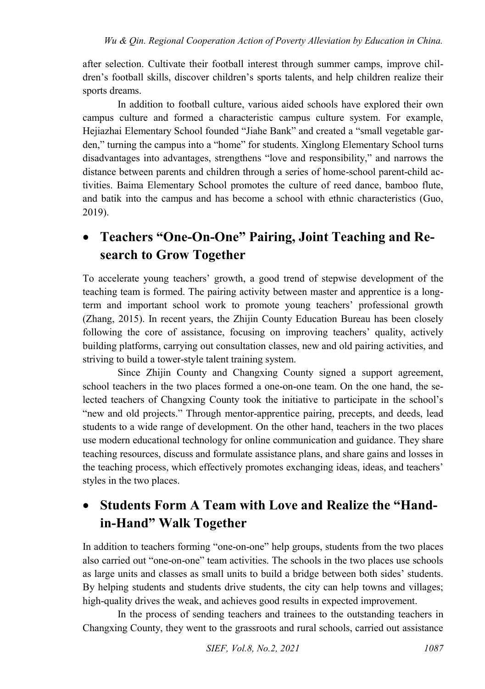after selection. Cultivate their football interest through summer camps, improve children's football skills, discover children's sports talents, and help children realize their sports dreams.

In addition to football culture, various aided schools have explored their own campus culture and formed a characteristic campus culture system. For example, Hejiazhai Elementary School founded "Jiahe Bank" and created a "small vegetable garden," turning the campus into a "home" for students. Xinglong Elementary School turns disadvantages into advantages, strengthens "love and responsibility," and narrows the distance between parents and children through a series of home-school parent-child activities. Baima Elementary School promotes the culture of reed dance, bamboo flute, and batik into the campus and has become a school with ethnic characteristics (Guo, 2019).

### **Teachers "One-On-One" Pairing, Joint Teaching and Research to Grow Together**

To accelerate young teachers' growth, a good trend of stepwise development of the teaching team is formed. The pairing activity between master and apprentice is a longterm and important school work to promote young teachers' professional growth (Zhang, 2015). In recent years, the Zhijin County Education Bureau has been closely following the core of assistance, focusing on improving teachers' quality, actively building platforms, carrying out consultation classes, new and old pairing activities, and striving to build a tower-style talent training system.

Since Zhijin County and Changxing County signed a support agreement, school teachers in the two places formed a one-on-one team. On the one hand, the selected teachers of Changxing County took the initiative to participate in the school's "new and old projects." Through mentor-apprentice pairing, precepts, and deeds, lead students to a wide range of development. On the other hand, teachers in the two places use modern educational technology for online communication and guidance. They share teaching resources, discuss and formulate assistance plans, and share gains and losses in the teaching process, which effectively promotes exchanging ideas, ideas, and teachers' styles in the two places.

### **Students Form A Team with Love and Realize the "Handin-Hand" Walk Together**

In addition to teachers forming "one-on-one" help groups, students from the two places also carried out "one-on-one" team activities. The schools in the two places use schools as large units and classes as small units to build a bridge between both sides' students. By helping students and students drive students, the city can help towns and villages; high-quality drives the weak, and achieves good results in expected improvement.

In the process of sending teachers and trainees to the outstanding teachers in Changxing County, they went to the grassroots and rural schools, carried out assistance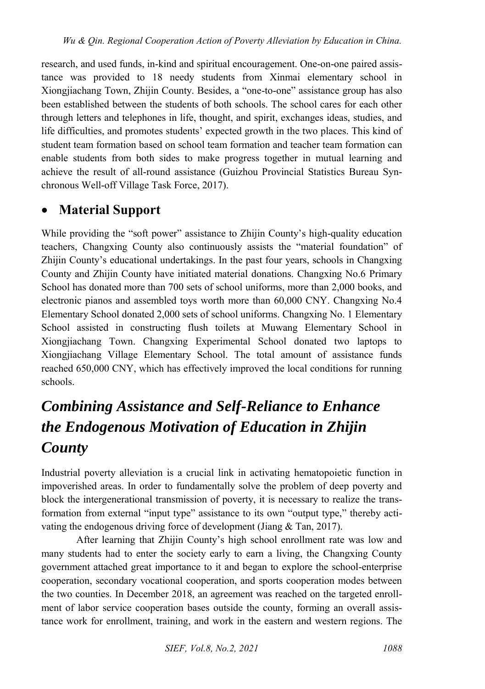research, and used funds, in-kind and spiritual encouragement. One-on-one paired assistance was provided to 18 needy students from Xinmai elementary school in Xiongjiachang Town, Zhijin County. Besides, a "one-to-one" assistance group has also been established between the students of both schools. The school cares for each other through letters and telephones in life, thought, and spirit, exchanges ideas, studies, and life difficulties, and promotes students' expected growth in the two places. This kind of student team formation based on school team formation and teacher team formation can enable students from both sides to make progress together in mutual learning and achieve the result of all-round assistance (Guizhou Provincial Statistics Bureau Synchronous Well-off Village Task Force, 2017).

### **Material Support**

While providing the "soft power" assistance to Zhijin County's high-quality education teachers, Changxing County also continuously assists the "material foundation" of Zhijin County's educational undertakings. In the past four years, schools in Changxing County and Zhijin County have initiated material donations. Changxing No.6 Primary School has donated more than 700 sets of school uniforms, more than 2,000 books, and electronic pianos and assembled toys worth more than 60,000 CNY. Changxing No.4 Elementary School donated 2,000 sets of school uniforms. Changxing No. 1 Elementary School assisted in constructing flush toilets at Muwang Elementary School in Xiongjiachang Town. Changxing Experimental School donated two laptops to Xiongjiachang Village Elementary School. The total amount of assistance funds reached 650,000 CNY, which has effectively improved the local conditions for running schools.

## *Combining Assistance and Self-Reliance to Enhance the Endogenous Motivation of Education in Zhijin County*

Industrial poverty alleviation is a crucial link in activating hematopoietic function in impoverished areas. In order to fundamentally solve the problem of deep poverty and block the intergenerational transmission of poverty, it is necessary to realize the transformation from external "input type" assistance to its own "output type," thereby activating the endogenous driving force of development (Jiang & Tan, 2017).

After learning that Zhijin County's high school enrollment rate was low and many students had to enter the society early to earn a living, the Changxing County government attached great importance to it and began to explore the school-enterprise cooperation, secondary vocational cooperation, and sports cooperation modes between the two counties. In December 2018, an agreement was reached on the targeted enrollment of labor service cooperation bases outside the county, forming an overall assistance work for enrollment, training, and work in the eastern and western regions. The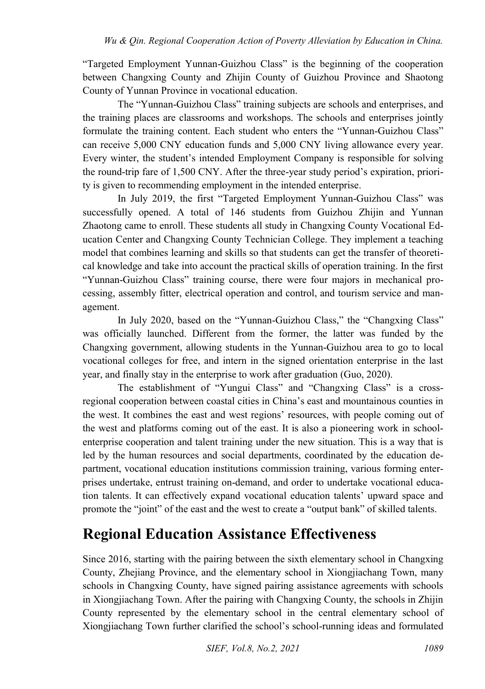"Targeted Employment Yunnan-Guizhou Class" is the beginning of the cooperation between Changxing County and Zhijin County of Guizhou Province and Shaotong County of Yunnan Province in vocational education.

The "Yunnan-Guizhou Class" training subjects are schools and enterprises, and the training places are classrooms and workshops. The schools and enterprises jointly formulate the training content. Each student who enters the "Yunnan-Guizhou Class" can receive 5,000 CNY education funds and 5,000 CNY living allowance every year. Every winter, the student's intended Employment Company is responsible for solving the round-trip fare of 1,500 CNY. After the three-year study period's expiration, priority is given to recommending employment in the intended enterprise.

In July 2019, the first "Targeted Employment Yunnan-Guizhou Class" was successfully opened. A total of 146 students from Guizhou Zhijin and Yunnan Zhaotong came to enroll. These students all study in Changxing County Vocational Education Center and Changxing County Technician College. They implement a teaching model that combines learning and skills so that students can get the transfer of theoretical knowledge and take into account the practical skills of operation training. In the first "Yunnan-Guizhou Class" training course, there were four majors in mechanical processing, assembly fitter, electrical operation and control, and tourism service and management.

In July 2020, based on the "Yunnan-Guizhou Class," the "Changxing Class" was officially launched. Different from the former, the latter was funded by the Changxing government, allowing students in the Yunnan-Guizhou area to go to local vocational colleges for free, and intern in the signed orientation enterprise in the last year, and finally stay in the enterprise to work after graduation (Guo, 2020).

The establishment of "Yungui Class" and "Changxing Class" is a crossregional cooperation between coastal cities in China's east and mountainous counties in the west. It combines the east and west regions' resources, with people coming out of the west and platforms coming out of the east. It is also a pioneering work in schoolenterprise cooperation and talent training under the new situation. This is a way that is led by the human resources and social departments, coordinated by the education department, vocational education institutions commission training, various forming enterprises undertake, entrust training on-demand, and order to undertake vocational education talents. It can effectively expand vocational education talents' upward space and promote the "joint" of the east and the west to create a "output bank" of skilled talents.

## **Regional Education Assistance Effectiveness**

Since 2016, starting with the pairing between the sixth elementary school in Changxing County, Zhejiang Province, and the elementary school in Xiongjiachang Town, many schools in Changxing County, have signed pairing assistance agreements with schools in Xiongjiachang Town. After the pairing with Changxing County, the schools in Zhijin County represented by the elementary school in the central elementary school of Xiongjiachang Town further clarified the school's school-running ideas and formulated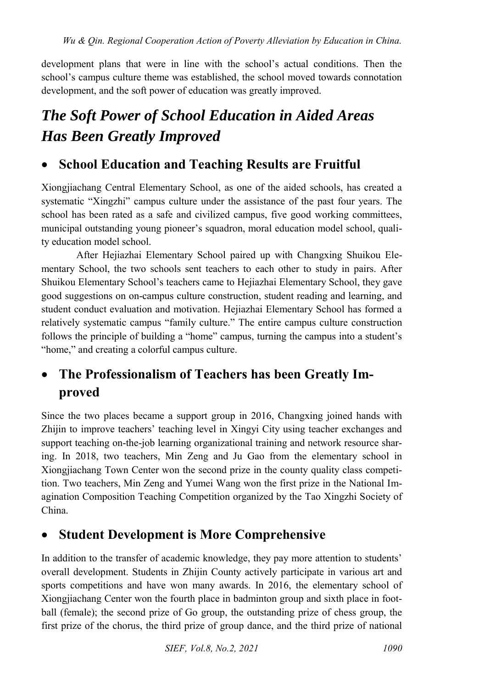development plans that were in line with the school's actual conditions. Then the school's campus culture theme was established, the school moved towards connotation development, and the soft power of education was greatly improved.

## *The Soft Power of School Education in Aided Areas Has Been Greatly Improved*

#### **School Education and Teaching Results are Fruitful**

Xiongjiachang Central Elementary School, as one of the aided schools, has created a systematic "Xingzhi" campus culture under the assistance of the past four years. The school has been rated as a safe and civilized campus, five good working committees, municipal outstanding young pioneer's squadron, moral education model school, quality education model school.

After Hejiazhai Elementary School paired up with Changxing Shuikou Elementary School, the two schools sent teachers to each other to study in pairs. After Shuikou Elementary School's teachers came to Hejiazhai Elementary School, they gave good suggestions on on-campus culture construction, student reading and learning, and student conduct evaluation and motivation. Hejiazhai Elementary School has formed a relatively systematic campus "family culture." The entire campus culture construction follows the principle of building a "home" campus, turning the campus into a student's "home," and creating a colorful campus culture.

## **The Professionalism of Teachers has been Greatly Improved**

Since the two places became a support group in 2016, Changxing joined hands with Zhijin to improve teachers' teaching level in Xingyi City using teacher exchanges and support teaching on-the-job learning organizational training and network resource sharing. In 2018, two teachers, Min Zeng and Ju Gao from the elementary school in Xiongjiachang Town Center won the second prize in the county quality class competition. Two teachers, Min Zeng and Yumei Wang won the first prize in the National Imagination Composition Teaching Competition organized by the Tao Xingzhi Society of China.

#### **Student Development is More Comprehensive**

In addition to the transfer of academic knowledge, they pay more attention to students' overall development. Students in Zhijin County actively participate in various art and sports competitions and have won many awards. In 2016, the elementary school of Xiongjiachang Center won the fourth place in badminton group and sixth place in football (female); the second prize of Go group, the outstanding prize of chess group, the first prize of the chorus, the third prize of group dance, and the third prize of national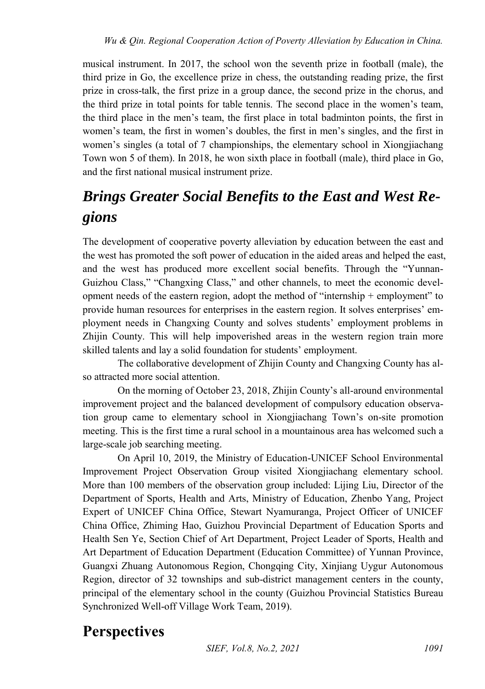musical instrument. In 2017, the school won the seventh prize in football (male), the third prize in Go, the excellence prize in chess, the outstanding reading prize, the first prize in cross-talk, the first prize in a group dance, the second prize in the chorus, and the third prize in total points for table tennis. The second place in the women's team, the third place in the men's team, the first place in total badminton points, the first in women's team, the first in women's doubles, the first in men's singles, and the first in women's singles (a total of 7 championships, the elementary school in Xiongjiachang Town won 5 of them). In 2018, he won sixth place in football (male), third place in Go, and the first national musical instrument prize.

## *Brings Greater Social Benefits to the East and West Regions*

The development of cooperative poverty alleviation by education between the east and the west has promoted the soft power of education in the aided areas and helped the east, and the west has produced more excellent social benefits. Through the "Yunnan-Guizhou Class," "Changxing Class," and other channels, to meet the economic development needs of the eastern region, adopt the method of "internship + employment" to provide human resources for enterprises in the eastern region. It solves enterprises' employment needs in Changxing County and solves students' employment problems in Zhijin County. This will help impoverished areas in the western region train more skilled talents and lay a solid foundation for students' employment.

The collaborative development of Zhijin County and Changxing County has also attracted more social attention.

On the morning of October 23, 2018, Zhijin County's all-around environmental improvement project and the balanced development of compulsory education observation group came to elementary school in Xiongjiachang Town's on-site promotion meeting. This is the first time a rural school in a mountainous area has welcomed such a large-scale job searching meeting.

On April 10, 2019, the Ministry of Education-UNICEF School Environmental Improvement Project Observation Group visited Xiongjiachang elementary school. More than 100 members of the observation group included: Lijing Liu, Director of the Department of Sports, Health and Arts, Ministry of Education, Zhenbo Yang, Project Expert of UNICEF China Office, Stewart Nyamuranga, Project Officer of UNICEF China Office, Zhiming Hao, Guizhou Provincial Department of Education Sports and Health Sen Ye, Section Chief of Art Department, Project Leader of Sports, Health and Art Department of Education Department (Education Committee) of Yunnan Province, Guangxi Zhuang Autonomous Region, Chongqing City, Xinjiang Uygur Autonomous Region, director of 32 townships and sub-district management centers in the county, principal of the elementary school in the county (Guizhou Provincial Statistics Bureau Synchronized Well-off Village Work Team, 2019).

## **Perspectives**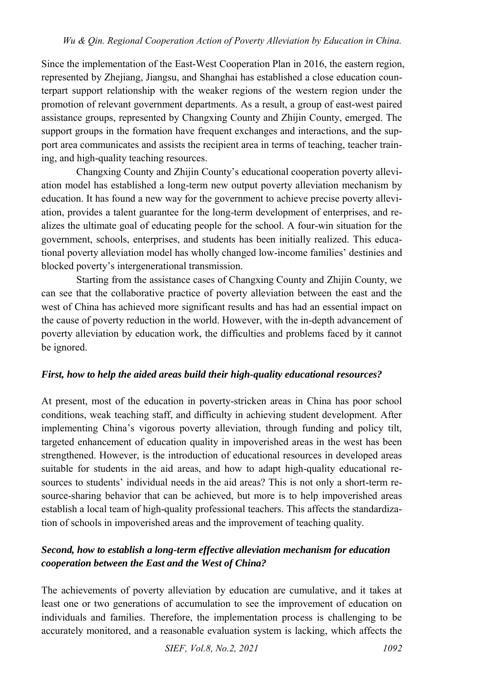Since the implementation of the East-West Cooperation Plan in 2016, the eastern region, represented by Zhejiang, Jiangsu, and Shanghai has established a close education counterpart support relationship with the weaker regions of the western region under the promotion of relevant government departments. As a result, a group of east-west paired assistance groups, represented by Changxing County and Zhijin County, emerged. The support groups in the formation have frequent exchanges and interactions, and the support area communicates and assists the recipient area in terms of teaching, teacher training, and high-quality teaching resources.

Changxing County and Zhijin County's educational cooperation poverty alleviation model has established a long-term new output poverty alleviation mechanism by education. It has found a new way for the government to achieve precise poverty alleviation, provides a talent guarantee for the long-term development of enterprises, and realizes the ultimate goal of educating people for the school. A four-win situation for the government, schools, enterprises, and students has been initially realized. This educational poverty alleviation model has wholly changed low-income families' destinies and blocked poverty's intergenerational transmission.

Starting from the assistance cases of Changxing County and Zhijin County, we can see that the collaborative practice of poverty alleviation between the east and the west of China has achieved more significant results and has had an essential impact on the cause of poverty reduction in the world. However, with the in-depth advancement of poverty alleviation by education work, the difficulties and problems faced by it cannot be ignored.

#### *First, how to help the aided areas build their high-quality educational resources?*

At present, most of the education in poverty-stricken areas in China has poor school conditions, weak teaching staff, and difficulty in achieving student development. After implementing China's vigorous poverty alleviation, through funding and policy tilt, targeted enhancement of education quality in impoverished areas in the west has been strengthened. However, is the introduction of educational resources in developed areas suitable for students in the aid areas, and how to adapt high-quality educational resources to students' individual needs in the aid areas? This is not only a short-term resource-sharing behavior that can be achieved, but more is to help impoverished areas establish a local team of high-quality professional teachers. This affects the standardization of schools in impoverished areas and the improvement of teaching quality.

#### *Second, how to establish a long-term effective alleviation mechanism for education cooperation between the East and the West of China?*

The achievements of poverty alleviation by education are cumulative, and it takes at least one or two generations of accumulation to see the improvement of education on individuals and families. Therefore, the implementation process is challenging to be accurately monitored, and a reasonable evaluation system is lacking, which affects the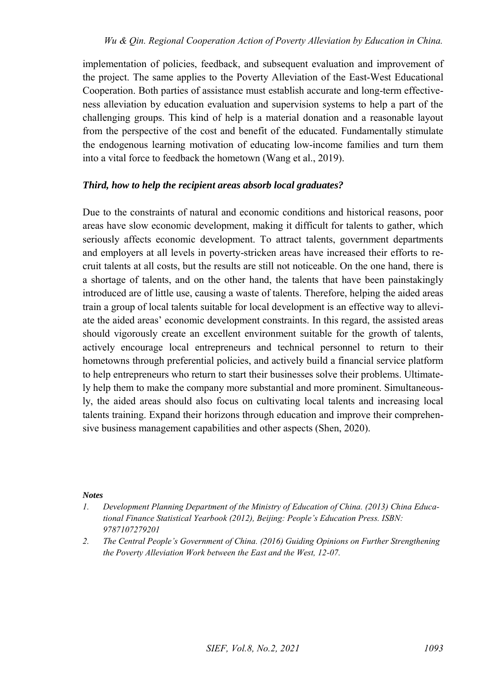implementation of policies, feedback, and subsequent evaluation and improvement of the project. The same applies to the Poverty Alleviation of the East-West Educational Cooperation. Both parties of assistance must establish accurate and long-term effectiveness alleviation by education evaluation and supervision systems to help a part of the challenging groups. This kind of help is a material donation and a reasonable layout from the perspective of the cost and benefit of the educated. Fundamentally stimulate the endogenous learning motivation of educating low-income families and turn them into a vital force to feedback the hometown (Wang et al., 2019).

#### *Third, how to help the recipient areas absorb local graduates?*

Due to the constraints of natural and economic conditions and historical reasons, poor areas have slow economic development, making it difficult for talents to gather, which seriously affects economic development. To attract talents, government departments and employers at all levels in poverty-stricken areas have increased their efforts to recruit talents at all costs, but the results are still not noticeable. On the one hand, there is a shortage of talents, and on the other hand, the talents that have been painstakingly introduced are of little use, causing a waste of talents. Therefore, helping the aided areas train a group of local talents suitable for local development is an effective way to alleviate the aided areas' economic development constraints. In this regard, the assisted areas should vigorously create an excellent environment suitable for the growth of talents, actively encourage local entrepreneurs and technical personnel to return to their hometowns through preferential policies, and actively build a financial service platform to help entrepreneurs who return to start their businesses solve their problems. Ultimately help them to make the company more substantial and more prominent. Simultaneously, the aided areas should also focus on cultivating local talents and increasing local talents training. Expand their horizons through education and improve their comprehensive business management capabilities and other aspects (Shen, 2020).

#### *Notes*

- <span id="page-12-0"></span>*1. Development Planning Department of the Ministry of Education of China. (2013) China Educational Finance Statistical Yearbook (2012), Beijing: People's Education Press. ISBN: 9787107279201*
- <span id="page-12-1"></span>*2. The Central People's Government of China. (2016) Guiding Opinions on Further Strengthening the Poverty Alleviation Work between the East and the West, 12-07.*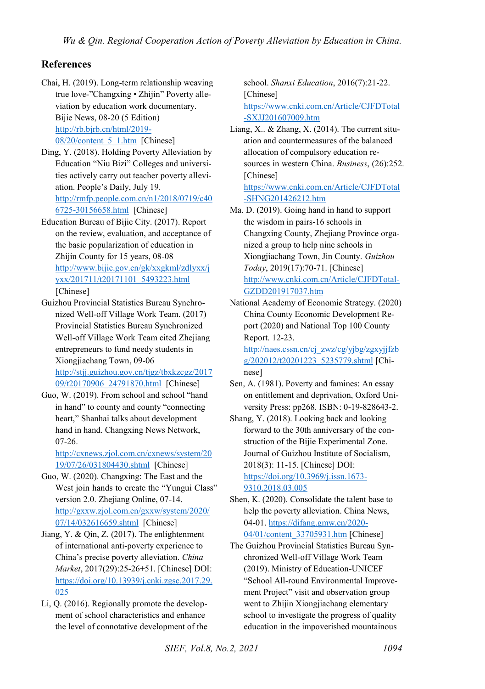#### **References**

- Chai, H. (2019). Long-term relationship weaving true love-"Changxing • Zhijin" Poverty alleviation by education work documentary. Bijie News, 08-20 (5 Edition) [http://rb.bjrb.cn/html/2019-](http://rb.bjrb.cn/html/2019-08/20/content_5_1.htm) 08/20/content 5 1.htm [Chinese]
- Ding, Y. (2018). Holding Poverty Alleviation by Education "Niu Bizi" Colleges and universities actively carry out teacher poverty alleviation. People's Daily, July 19. [http://rmfp.people.com.cn/n1/2018/0719/c40](http://rmfp.people.com.cn/n1/2018/0719/c406725-30156658.html) [6725-30156658.html](http://rmfp.people.com.cn/n1/2018/0719/c406725-30156658.html) [Chinese]
- Education Bureau of Bijie City. (2017). Report on the review, evaluation, and acceptance of the basic popularization of education in Zhijin County for 15 years, 08-08 [http://www.bijie.gov.cn/gk/xxgkml/zdlyxx/j](http://www.bijie.gov.cn/gk/xxgkml/zdlyxx/jyxx/201711/t20171101_5493223.html) [yxx/201711/t20171101\\_5493223.html](http://www.bijie.gov.cn/gk/xxgkml/zdlyxx/jyxx/201711/t20171101_5493223.html)  [Chinese]
- Guizhou Provincial Statistics Bureau Synchronized Well-off Village Work Team. (2017) Provincial Statistics Bureau Synchronized Well-off Village Work Team cited Zhejiang entrepreneurs to fund needy students in Xiongjiachang Town, 09-06 [http://stjj.guizhou.gov.cn/tjgz/tbxkzcgz/2017](http://stjj.guizhou.gov.cn/tjgz/tbxkzcgz/201709/t20170906_24791870.html) [09/t20170906\\_24791870.html](http://stjj.guizhou.gov.cn/tjgz/tbxkzcgz/201709/t20170906_24791870.html) [Chinese]
- Guo, W. (2019). From school and school "hand in hand" to county and county "connecting heart," Shanhai talks about development hand in hand. Changxing News Network, 07-26.

[http://cxnews.zjol.com.cn/cxnews/system/20](http://cxnews.zjol.com.cn/cxnews/system/2019/07/26/031804430.shtml) [19/07/26/031804430.shtml](http://cxnews.zjol.com.cn/cxnews/system/2019/07/26/031804430.shtml) [Chinese]

- Guo, W. (2020). Changxing: The East and the West join hands to create the "Yungui Class" version 2.0. Zhejiang Online, 07-14. [http://gxxw.zjol.com.cn/gxxw/system/2020/](http://gxxw.zjol.com.cn/gxxw/system/2020/07/14/032616659.shtml) [07/14/032616659.shtml](http://gxxw.zjol.com.cn/gxxw/system/2020/07/14/032616659.shtml) [Chinese]
- Jiang, Y. & Qin, Z. (2017). The enlightenment of international anti-poverty experience to China's precise poverty alleviation. *China Market*, 2017(29):25-26+51. [Chinese] DOI: [https://doi.org/10.13939/j.cnki.zgsc.2017.29.](https://doi.org/10.13939/j.cnki.zgsc.2017.29.025) [025](https://doi.org/10.13939/j.cnki.zgsc.2017.29.025)
- Li, Q. (2016). Regionally promote the development of school characteristics and enhance the level of connotative development of the

school. *Shanxi Education*, 2016(7):21-22. [Chinese] [https://www.cnki.com.cn/Article/CJFDTotal](https://www.cnki.com.cn/Article/CJFDTotal-SXJJ201607009.htm) [-SXJJ201607009.htm](https://www.cnki.com.cn/Article/CJFDTotal-SXJJ201607009.htm) 

- Liang, X.. & Zhang, X. (2014). The current situation and countermeasures of the balanced allocation of compulsory education resources in western China. *Business*, (26):252. [Chinese] [https://www.cnki.com.cn/Article/CJFDTotal](https://www.cnki.com.cn/Article/CJFDTotal-SHNG201426212.htm) [-SHNG201426212.htm](https://www.cnki.com.cn/Article/CJFDTotal-SHNG201426212.htm)
- Ma. D. (2019). Going hand in hand to support the wisdom in pairs-16 schools in Changxing County, Zhejiang Province organized a group to help nine schools in Xiongjiachang Town, Jin County. *Guizhou Today*, 2019(17):70-71. [Chinese] [http://www.cnki.com.cn/Article/CJFDTotal-](http://www.cnki.com.cn/Article/CJFDTotal-GZDD201917037.htm)[GZDD201917037.htm](http://www.cnki.com.cn/Article/CJFDTotal-GZDD201917037.htm)
- National Academy of Economic Strategy. (2020) China County Economic Development Report (2020) and National Top 100 County Report. 12-23.

[http://naes.cssn.cn/cj\\_zwz/cg/yjbg/zgxyjjfzb](http://naes.cssn.cn/cj_zwz/cg/yjbg/zgxyjjfzbg/202012/t20201223_5235779.shtml) [g/202012/t20201223\\_5235779.shtml \[](http://naes.cssn.cn/cj_zwz/cg/yjbg/zgxyjjfzbg/202012/t20201223_5235779.shtml)Chinese]

- Sen, A. (1981). Poverty and famines: An essay on entitlement and deprivation, Oxford University Press: pp268. ISBN: 0-19-828643-2.
- Shang, Y. (2018). Looking back and looking forward to the 30th anniversary of the construction of the Bijie Experimental Zone. Journal of Guizhou Institute of Socialism, 2018(3): 11-15. [Chinese] DOI: [https://doi.org/10.3969/j.issn.1673-](https://doi.org/10.3969/j.issn.1673-9310.2018.03.005) [9310.2018.03.005](https://doi.org/10.3969/j.issn.1673-9310.2018.03.005)
- Shen, K. (2020). Consolidate the talent base to help the poverty alleviation. China News, 04-01[. https://difang.gmw.cn/2020-](https://difang.gmw.cn/2020-04/01/content_33705931.htm) [04/01/content\\_33705931.htm \[](https://difang.gmw.cn/2020-04/01/content_33705931.htm)Chinese]
- The Guizhou Provincial Statistics Bureau Synchronized Well-off Village Work Team (2019). Ministry of Education-UNICEF "School All-round Environmental Improvement Project" visit and observation group went to Zhijin Xiongjiachang elementary school to investigate the progress of quality education in the impoverished mountainous